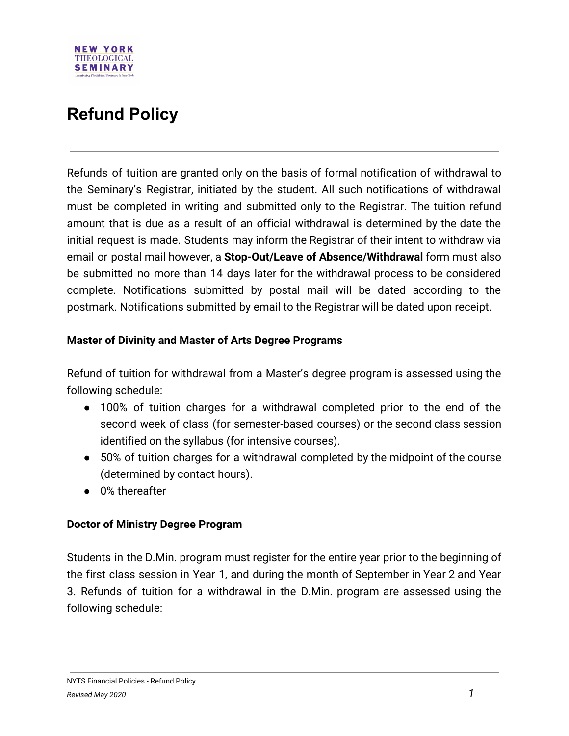

# **Refund Policy**

Refunds of tuition are granted only on the basis of formal notification of withdrawal to the Seminary's Registrar, initiated by the student. All such notifications of withdrawal must be completed in writing and submitted only to the Registrar. The tuition refund amount that is due as a result of an official withdrawal is determined by the date the initial request is made. Students may inform the Registrar of their intent to withdraw via email or postal mail however, a **Stop-Out/Leave of Absence/Withdrawal** form must also be submitted no more than 14 days later for the withdrawal process to be considered complete. Notifications submitted by postal mail will be dated according to the postmark. Notifications submitted by email to the Registrar will be dated upon receipt.

## **Master of Divinity and Master of Arts Degree Programs**

Refund of tuition for withdrawal from a Master's degree program is assessed using the following schedule:

- 100% of tuition charges for a withdrawal completed prior to the end of the second week of class (for semester-based courses) or the second class session identified on the syllabus (for intensive courses).
- 50% of tuition charges for a withdrawal completed by the midpoint of the course (determined by contact hours).
- 0% thereafter

# **Doctor of Ministry Degree Program**

Students in the D.Min. program must register for the entire year prior to the beginning of the first class session in Year 1, and during the month of September in Year 2 and Year 3. Refunds of tuition for a withdrawal in the D.Min. program are assessed using the following schedule: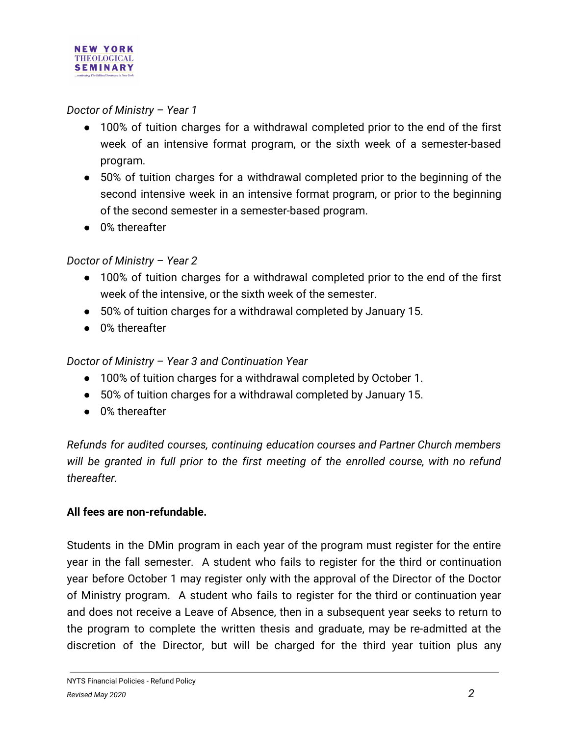

### *Doctor of Ministry – Year 1*

- 100% of tuition charges for a withdrawal completed prior to the end of the first week of an intensive format program, or the sixth week of a semester-based program.
- 50% of tuition charges for a withdrawal completed prior to the beginning of the second intensive week in an intensive format program, or prior to the beginning of the second semester in a semester-based program.
- 0% thereafter

# *Doctor of Ministry – Year 2*

- 100% of tuition charges for a withdrawal completed prior to the end of the first week of the intensive, or the sixth week of the semester.
- 50% of tuition charges for a withdrawal completed by January 15.
- 0% thereafter

# *Doctor of Ministry – Year 3 and Continuation Year*

- 100% of tuition charges for a withdrawal completed by October 1.
- 50% of tuition charges for a withdrawal completed by January 15.
- 0% thereafter

*Refunds for audited courses, continuing education courses and Partner Church members will be granted in full prior to the first meeting of the enrolled course, with no refund thereafter.*

#### **All fees are non-refundable.**

Students in the DMin program in each year of the program must register for the entire year in the fall semester. A student who fails to register for the third or continuation year before October 1 may register only with the approval of the Director of the Doctor of Ministry program. A student who fails to register for the third or continuation year and does not receive a Leave of Absence, then in a subsequent year seeks to return to the program to complete the written thesis and graduate, may be re-admitted at the discretion of the Director, but will be charged for the third year tuition plus any